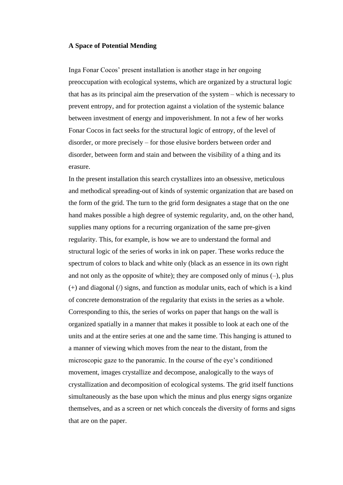## **A Space of Potential Mending**

Inga Fonar Cocos' present installation is another stage in her ongoing preoccupation with ecological systems, which are organized by a structural logic that has as its principal aim the preservation of the system – which is necessary to prevent entropy, and for protection against a violation of the systemic balance between investment of energy and impoverishment. In not a few of her works Fonar Cocos in fact seeks for the structural logic of entropy, of the level of disorder, or more precisely – for those elusive borders between order and disorder, between form and stain and between the visibility of a thing and its erasure.

In the present installation this search crystallizes into an obsessive, meticulous and methodical spreading-out of kinds of systemic organization that are based on the form of the grid. The turn to the grid form designates a stage that on the one hand makes possible a high degree of systemic regularity, and, on the other hand, supplies many options for a recurring organization of the same pre-given regularity. This, for example, is how we are to understand the formal and structural logic of the series of works in ink on paper. These works reduce the spectrum of colors to black and white only (black as an essence in its own right and not only as the opposite of white); they are composed only of minus  $(-)$ , plus (+) and diagonal (/) signs, and function as modular units, each of which is a kind of concrete demonstration of the regularity that exists in the series as a whole. Corresponding to this, the series of works on paper that hangs on the wall is organized spatially in a manner that makes it possible to look at each one of the units and at the entire series at one and the same time. This hanging is attuned to a manner of viewing which moves from the near to the distant, from the microscopic gaze to the panoramic. In the course of the eye's conditioned movement, images crystallize and decompose, analogically to the ways of crystallization and decomposition of ecological systems. The grid itself functions simultaneously as the base upon which the minus and plus energy signs organize themselves, and as a screen or net which conceals the diversity of forms and signs that are on the paper.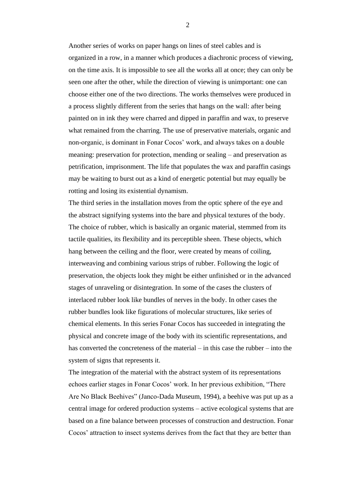Another series of works on paper hangs on lines of steel cables and is organized in a row, in a manner which produces a diachronic process of viewing, on the time axis. It is impossible to see all the works all at once; they can only be seen one after the other, while the direction of viewing is unimportant: one can choose either one of the two directions. The works themselves were produced in a process slightly different from the series that hangs on the wall: after being painted on in ink they were charred and dipped in paraffin and wax, to preserve what remained from the charring. The use of preservative materials, organic and non-organic, is dominant in Fonar Cocos' work, and always takes on a double meaning: preservation for protection, mending or sealing – and preservation as petrification, imprisonment. The life that populates the wax and paraffin casings may be waiting to burst out as a kind of energetic potential but may equally be rotting and losing its existential dynamism.

The third series in the installation moves from the optic sphere of the eye and the abstract signifying systems into the bare and physical textures of the body. The choice of rubber, which is basically an organic material, stemmed from its tactile qualities, its flexibility and its perceptible sheen. These objects, which hang between the ceiling and the floor, were created by means of coiling, interweaving and combining various strips of rubber. Following the logic of preservation, the objects look they might be either unfinished or in the advanced stages of unraveling or disintegration. In some of the cases the clusters of interlaced rubber look like bundles of nerves in the body. In other cases the rubber bundles look like figurations of molecular structures, like series of chemical elements. In this series Fonar Cocos has succeeded in integrating the physical and concrete image of the body with its scientific representations, and has converted the concreteness of the material – in this case the rubber – into the system of signs that represents it.

The integration of the material with the abstract system of its representations echoes earlier stages in Fonar Cocos' work. In her previous exhibition, "There Are No Black Beehives" (Janco-Dada Museum, 1994), a beehive was put up as a central image for ordered production systems – active ecological systems that are based on a fine balance between processes of construction and destruction. Fonar Cocos' attraction to insect systems derives from the fact that they are better than

2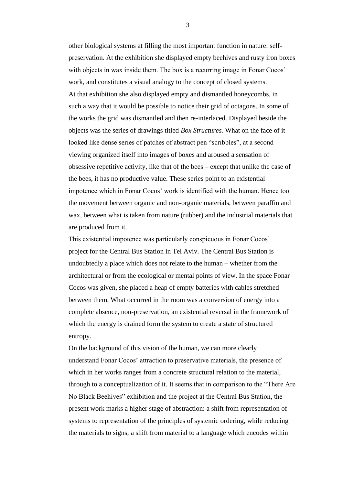other biological systems at filling the most important function in nature: selfpreservation. At the exhibition she displayed empty beehives and rusty iron boxes with objects in wax inside them. The box is a recurring image in Fonar Cocos' work, and constitutes a visual analogy to the concept of closed systems. At that exhibition she also displayed empty and dismantled honeycombs, in such a way that it would be possible to notice their grid of octagons. In some of the works the grid was dismantled and then re-interlaced. Displayed beside the objects was the series of drawings titled *Box Structures.* What on the face of it looked like dense series of patches of abstract pen "scribbles", at a second viewing organized itself into images of boxes and aroused a sensation of obsessive repetitive activity, like that of the bees – except that unlike the case of the bees, it has no productive value. These series point to an existential impotence which in Fonar Cocos' work is identified with the human. Hence too the movement between organic and non-organic materials, between paraffin and wax, between what is taken from nature (rubber) and the industrial materials that are produced from it.

This existential impotence was particularly conspicuous in Fonar Cocos' project for the Central Bus Station in Tel Aviv. The Central Bus Station is undoubtedly a place which does not relate to the human – whether from the architectural or from the ecological or mental points of view. In the space Fonar Cocos was given, she placed a heap of empty batteries with cables stretched between them. What occurred in the room was a conversion of energy into a complete absence, non-preservation, an existential reversal in the framework of which the energy is drained form the system to create a state of structured entropy.

On the background of this vision of the human, we can more clearly understand Fonar Cocos' attraction to preservative materials, the presence of which in her works ranges from a concrete structural relation to the material, through to a conceptualization of it. It seems that in comparison to the "There Are No Black Beehives" exhibition and the project at the Central Bus Station, the present work marks a higher stage of abstraction: a shift from representation of systems to representation of the principles of systemic ordering, while reducing the materials to signs; a shift from material to a language which encodes within

3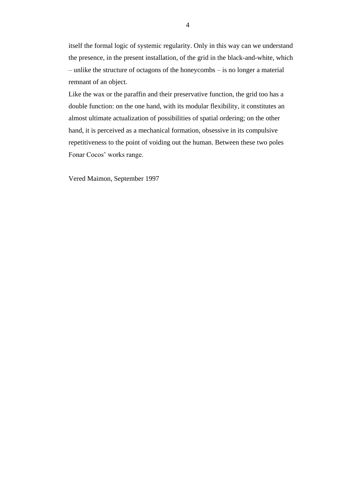itself the formal logic of systemic regularity. Only in this way can we understand the presence, in the present installation, of the grid in the black-and-white, which – unlike the structure of octagons of the honeycombs – is no longer a material remnant of an object.

Like the wax or the paraffin and their preservative function, the grid too has a double function: on the one hand, with its modular flexibility, it constitutes an almost ultimate actualization of possibilities of spatial ordering; on the other hand, it is perceived as a mechanical formation, obsessive in its compulsive repetitiveness to the point of voiding out the human. Between these two poles Fonar Cocos' works range.

Vered Maimon, September 1997